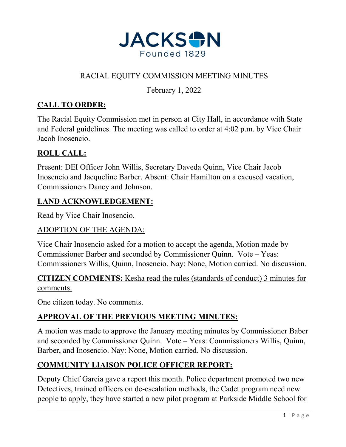

# RACIAL EQUITY COMMISSION MEETING MINUTES

February 1, 2022

# **CALL TO ORDER:**

The Racial Equity Commission met in person at City Hall, in accordance with State and Federal guidelines. The meeting was called to order at 4:02 p.m. by Vice Chair Jacob Inosencio.

# **ROLL CALL:**

Present: DEI Officer John Willis, Secretary Daveda Quinn, Vice Chair Jacob Inosencio and Jacqueline Barber. Absent: Chair Hamilton on a excused vacation, Commissioners Dancy and Johnson.

### **LAND ACKNOWLEDGEMENT:**

Read by Vice Chair Inosencio.

#### ADOPTION OF THE AGENDA:

Vice Chair Inosencio asked for a motion to accept the agenda, Motion made by Commissioner Barber and seconded by Commissioner Quinn. Vote – Yeas: Commissioners Willis, Quinn, Inosencio. Nay: None, Motion carried. No discussion.

**CITIZEN COMMENTS:** Kesha read the rules (standards of conduct) 3 minutes for comments.

One citizen today. No comments.

### **APPROVAL OF THE PREVIOUS MEETING MINUTES:**

A motion was made to approve the January meeting minutes by Commissioner Baber and seconded by Commissioner Quinn. Vote – Yeas: Commissioners Willis, Quinn, Barber, and Inosencio. Nay: None, Motion carried. No discussion.

### **COMMUNITY LIAISON POLICE OFFICER REPORT:**

Deputy Chief Garcia gave a report this month. Police department promoted two new Detectives, trained officers on de-escalation methods, the Cadet program need new people to apply, they have started a new pilot program at Parkside Middle School for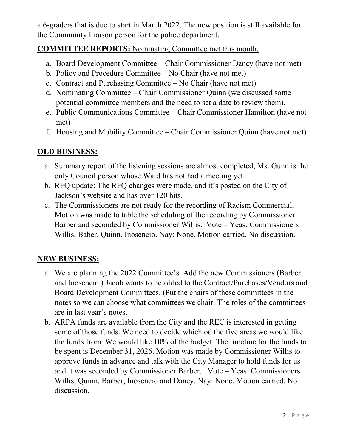a 6-graders that is due to start in March 2022. The new position is still available for the Community Liaison person for the police department.

### **COMMITTEE REPORTS:** Nominating Committee met this month.

- a. Board Development Committee Chair Commissioner Dancy (have not met)
- b. Policy and Procedure Committee No Chair (have not met)
- c. Contract and Purchasing Committee No Chair (have not met)
- d. Nominating Committee Chair Commissioner Quinn (we discussed some potential committee members and the need to set a date to review them).
- e. Public Communications Committee Chair Commissioner Hamilton (have not met)
- f. Housing and Mobility Committee Chair Commissioner Quinn (have not met)

# **OLD BUSINESS:**

- a. Summary report of the listening sessions are almost completed, Ms. Gunn is the only Council person whose Ward has not had a meeting yet.
- b. RFQ update: The RFQ changes were made, and it's posted on the City of Jackson's website and has over 120 hits.
- c. The Commissioners are not ready for the recording of Racism Commercial. Motion was made to table the scheduling of the recording by Commissioner Barber and seconded by Commissioner Willis. Vote – Yeas: Commissioners Willis, Baber, Quinn, Inosencio. Nay: None, Motion carried. No discussion.

### **NEW BUSINESS:**

- a. We are planning the 2022 Committee's. Add the new Commissioners (Barber and Inosencio.) Jacob wants to be added to the Contract/Purchases/Vendors and Board Development Committees. (Put the chairs of these committees in the notes so we can choose what committees we chair. The roles of the committees are in last year's notes.
- b. ARPA funds are available from the City and the REC is interested in getting some of those funds. We need to decide which od the five areas we would like the funds from. We would like 10% of the budget. The timeline for the funds to be spent is December 31, 2026. Motion was made by Commissioner Willis to approve funds in advance and talk with the City Manager to hold funds for us and it was seconded by Commissioner Barber. Vote – Yeas: Commissioners Willis, Quinn, Barber, Inosencio and Dancy. Nay: None, Motion carried. No discussion.